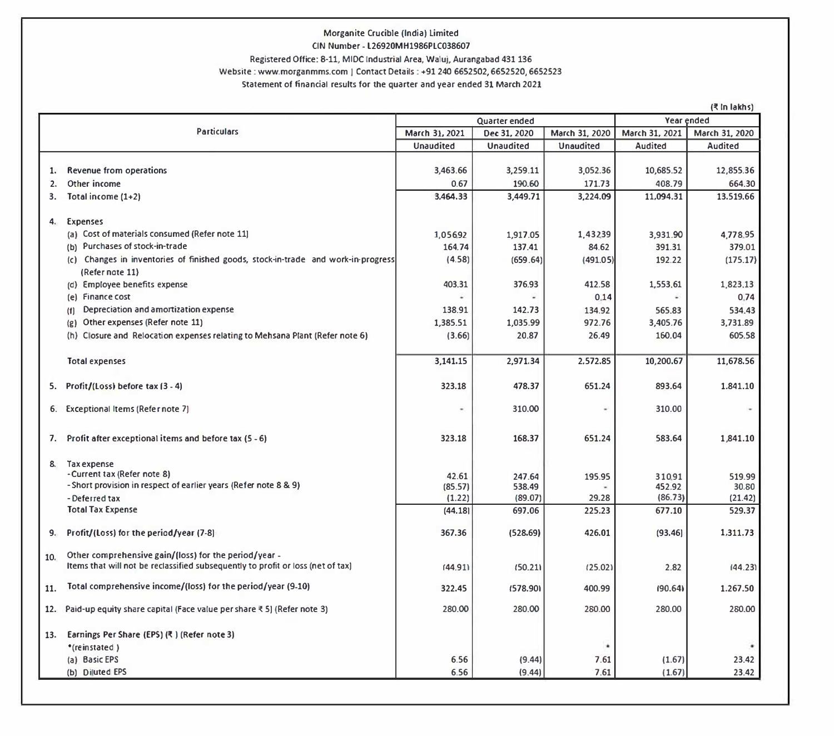## **Morganite Crucible (India) Limited**

## CIN Number. l26920MH1986PLC038607

## **Registered Office: 8-11, MIOCfndustrial Area, Waluj. Aurangabad 431136**

### **Website : wwv,.morganmms.com I Contact Details : +91240 6652502, 6652520, 6652523**

#### **Statement of financial results for the quarter and year ended 31 March 2021**

|     | (쿡 In lakhs)                                                                      |                  |                  |                  |                |                |  |  |  |
|-----|-----------------------------------------------------------------------------------|------------------|------------------|------------------|----------------|----------------|--|--|--|
|     |                                                                                   | Quarter ended    |                  |                  | Year ended     |                |  |  |  |
|     | Particulars                                                                       | March 31, 2021   | Dec 31, 2020     | March 31, 2020   | March 31, 2021 | March 31, 2020 |  |  |  |
|     |                                                                                   | <b>Unaudited</b> | <b>Unaudited</b> | <b>Unaudited</b> | Audited        | Audited        |  |  |  |
|     |                                                                                   |                  |                  |                  |                |                |  |  |  |
| 1.  | Revenue from operations                                                           | 3.463.66         | 3,259.11         | 3.052.36         | 10.685.52      | 12.855.36      |  |  |  |
| 2.  | Other income                                                                      | 0.67             | 190.60           | 171.73           | 408.79         | 664.30         |  |  |  |
| 3.  | Total income $(1+2)$                                                              | 3,464.33         | 3,449.71         | 3,224.09         | 11,094.31      | 13.519.66      |  |  |  |
|     |                                                                                   |                  |                  |                  |                |                |  |  |  |
| 4.  | Expenses                                                                          |                  |                  |                  |                |                |  |  |  |
|     | (a) Cost of materials consumed (Refer note 11)                                    | 1.05692          | 1,917.05         | 1,43239          | 3,931.90       | 4.778.95       |  |  |  |
|     | (b) Purchases of stock-in-trade                                                   | 164.74           | 137.41           | 84.62            | 391.31         | 379.01         |  |  |  |
|     | (c) Changes in inventories of finished goods, stock-in-trade and work-in-progress | (4.58)           | (659.64)         | (491.05)         | 192.22         | (175.17)       |  |  |  |
|     | (Refer note 11)                                                                   |                  |                  |                  |                |                |  |  |  |
|     | (d) Employee benefits expense                                                     | 403.31           | 376.93           | 412.58           | 1,553.61       | 1,823.13       |  |  |  |
|     | (e) Finance cost                                                                  |                  |                  | 0.14             |                | 0.74           |  |  |  |
|     | Depreciation and amortization expense<br>(1)                                      | 138.91           | 142.73           | 134.92           | 565.83         | 534.43         |  |  |  |
|     | Other expenses (Refer note 11)<br>(g)                                             | 1,385.51         | 1,035.99         | 972.76           | 3,405.76       | 3,731.89       |  |  |  |
|     | (h) Closure and Relocation expenses relating to Mehsana Plant (Refer note 6)      | (3.66)           | 20.87            | 26.49            | 160.04         | 605.58         |  |  |  |
|     |                                                                                   |                  |                  |                  |                |                |  |  |  |
|     | <b>Total expenses</b>                                                             | 3,141.15         | 2.971.34         | 2.572.85         | 10.200.67      | 11.678.56      |  |  |  |
|     |                                                                                   |                  |                  |                  |                |                |  |  |  |
| 5.  | Profit/(Loss) before tax (3 - 4)                                                  | 323.18           | 478.37           | 651.24           | 893.64         | 1.841.10       |  |  |  |
|     |                                                                                   |                  | 310.00           | ٠                |                |                |  |  |  |
|     | 6. Exceptional Items (Refer note 7)                                               |                  |                  |                  | 310.00         |                |  |  |  |
|     |                                                                                   |                  |                  |                  |                |                |  |  |  |
|     | 7. Profit after exceptional items and before tax (5 - 6)                          | 323.18           | 168.37           | 651.24           | 583.64         | 1,841.10       |  |  |  |
|     |                                                                                   |                  |                  |                  |                |                |  |  |  |
| 8.  | Tax expense                                                                       |                  |                  |                  |                |                |  |  |  |
|     | - Current tax (Refer note 8)                                                      | 42.61            | 247.64           | 195.95           | 310.91         | 519.99         |  |  |  |
|     | - Short provision in respect of earlier years (Refer note 8 & 9)                  | (85.57)          | 538.49           | 29.28            | 452.92         | 30.80          |  |  |  |
|     | - Deferred tax<br><b>Total Tax Expense</b>                                        | (1.22)           | (89.07)          |                  | (86.73)        | (21.42)        |  |  |  |
|     |                                                                                   | (44.18)          | 697.06           | 225.23           | 677.10         | 529.37         |  |  |  |
| 9.  | Profit/(Loss) for the period/year (7-8)                                           | 367.36           | (528.69)         | 426.01           | (93, 46)       | 1,311.73       |  |  |  |
|     |                                                                                   |                  |                  |                  |                |                |  |  |  |
| 10. | Other comprehensive gain/(loss) for the period/year -                             |                  |                  |                  |                |                |  |  |  |
|     | Items that will not be reclassified subsequently to profit or loss (net of tax)   | (44.91)          | (50.21)          | (25.02)          | 2.82           | (44.23)        |  |  |  |
|     |                                                                                   |                  |                  |                  |                |                |  |  |  |
| 11. | Total comprehensive income/(loss) for the period/year (9-10)                      | 322.45           | (578.90)         | 400.99           | (90.64)        | 1.267.50       |  |  |  |
| 12. | Paid-up equity share capital (Face value per share ₹5) (Refer note 3)             | 280.00           | 280.00           | 280.00           | 280,00         | 280.00         |  |  |  |
|     |                                                                                   |                  |                  |                  |                |                |  |  |  |
| 13. | Earnings Per Share (EPS) (₹) (Refer note 3)                                       |                  |                  |                  |                |                |  |  |  |
|     | *(reinstated)                                                                     |                  |                  |                  |                |                |  |  |  |
|     | (a) Basic EPS                                                                     | 6.56             | (9.44)           | 7.61             | (1.67)         | 23.42          |  |  |  |
|     | (b) Diluted EPS                                                                   | 6.56             | (9.44)           | 7.61             | (1.67)         | 23.42          |  |  |  |
|     |                                                                                   |                  |                  |                  |                |                |  |  |  |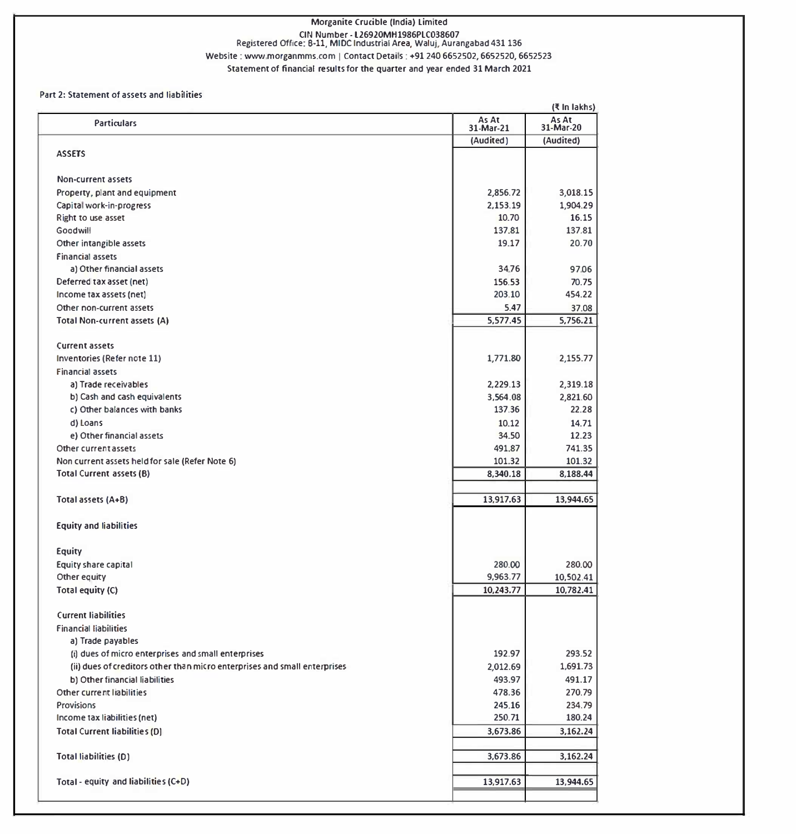# Morganite Crucible (India) Limited CIN Number - l26920MH1986PLC038607 Registered Office: 8-11, MIOC Industrial Area, Waluj. Aurangabad 431 136 Website : www.morganmms.com | Contact Details : +91 240 6652502, 6652520, 6652523

Statement of financial results for the quarter and year ended 31 March 2021

#### Part 2: Statement of assets and liabilities

| As At<br>As At<br>31-Mar-20<br><b>Particulars</b><br>31-Mar-21<br>(Audited)<br>(Audited)<br><b>ASSETS</b><br>Non-current assets<br>2,856.72<br>Property, plant and equipment<br>Capital work-in-progress<br>2,153.19<br>Right to use asset<br>10.70<br>Goodwill<br>137,81<br>Other intangible assets<br>19.17<br><b>Financial assets</b><br>34.76<br>a) Other financial assets<br>156.53<br>Deferred tax asset (net)<br>Income tax assets (net)<br>203.10<br>5.47<br>Other non-current assets<br>5,577.45<br>5,756.21<br>Total Non-current assets (A)<br><b>Current assets</b><br>Inventories (Refer note 11)<br>1,771.80<br><b>Financial assets</b><br>a) Trade receivables<br>2,229.13<br>b) Cash and cash equivalents<br>3,564.08<br>c) Other balances with banks<br>137.36<br>d) Loans<br>10.12<br>e) Other financial assets<br>34.50<br>491,87<br>Other current assets<br>Non current assets held for sale (Refer Note 6)<br>101.32<br>8,340.18<br><b>Total Current assets (B)</b><br>13,917.63<br>Total assets (A+B)<br><b>Equity and liabilities</b><br>Equity<br>Equity share capital<br>280.00<br>280.00<br>9,963.77<br>10,502.41<br>Other equity<br>10,243.77<br>10,782.41<br>Total equity (C)<br><b>Current liabilities</b><br><b>Financial liabilities</b><br>a) Trade payables<br>192.97<br>(i) dues of micro enterprises and small enterprises<br>(ii) dues of creditors other than micro enterprises and small enterprises<br>2,012.69<br>493.97<br>b) Other financial liabilities<br>Other current liabilities<br>478.36<br>Provisions<br>245.16<br>Income tax liabilities (net)<br>250.71<br><b>Total Current liabilities (D)</b><br>3,673.86<br>3,673.86<br><b>Total liabilities (D)</b><br>Total - equity and liabilities (C+D)<br>13,917.63 |  | (₹ In lakhs) |
|-----------------------------------------------------------------------------------------------------------------------------------------------------------------------------------------------------------------------------------------------------------------------------------------------------------------------------------------------------------------------------------------------------------------------------------------------------------------------------------------------------------------------------------------------------------------------------------------------------------------------------------------------------------------------------------------------------------------------------------------------------------------------------------------------------------------------------------------------------------------------------------------------------------------------------------------------------------------------------------------------------------------------------------------------------------------------------------------------------------------------------------------------------------------------------------------------------------------------------------------------------------------------------------------------------------------------------------------------------------------------------------------------------------------------------------------------------------------------------------------------------------------------------------------------------------------------------------------------------------------------------------------------------------------------------------------------------------------------------------------------------------------|--|--------------|
|                                                                                                                                                                                                                                                                                                                                                                                                                                                                                                                                                                                                                                                                                                                                                                                                                                                                                                                                                                                                                                                                                                                                                                                                                                                                                                                                                                                                                                                                                                                                                                                                                                                                                                                                                                 |  |              |
|                                                                                                                                                                                                                                                                                                                                                                                                                                                                                                                                                                                                                                                                                                                                                                                                                                                                                                                                                                                                                                                                                                                                                                                                                                                                                                                                                                                                                                                                                                                                                                                                                                                                                                                                                                 |  |              |
|                                                                                                                                                                                                                                                                                                                                                                                                                                                                                                                                                                                                                                                                                                                                                                                                                                                                                                                                                                                                                                                                                                                                                                                                                                                                                                                                                                                                                                                                                                                                                                                                                                                                                                                                                                 |  |              |
|                                                                                                                                                                                                                                                                                                                                                                                                                                                                                                                                                                                                                                                                                                                                                                                                                                                                                                                                                                                                                                                                                                                                                                                                                                                                                                                                                                                                                                                                                                                                                                                                                                                                                                                                                                 |  |              |
|                                                                                                                                                                                                                                                                                                                                                                                                                                                                                                                                                                                                                                                                                                                                                                                                                                                                                                                                                                                                                                                                                                                                                                                                                                                                                                                                                                                                                                                                                                                                                                                                                                                                                                                                                                 |  | 3,018.15     |
|                                                                                                                                                                                                                                                                                                                                                                                                                                                                                                                                                                                                                                                                                                                                                                                                                                                                                                                                                                                                                                                                                                                                                                                                                                                                                                                                                                                                                                                                                                                                                                                                                                                                                                                                                                 |  | 1,904.29     |
|                                                                                                                                                                                                                                                                                                                                                                                                                                                                                                                                                                                                                                                                                                                                                                                                                                                                                                                                                                                                                                                                                                                                                                                                                                                                                                                                                                                                                                                                                                                                                                                                                                                                                                                                                                 |  | 16.15        |
|                                                                                                                                                                                                                                                                                                                                                                                                                                                                                                                                                                                                                                                                                                                                                                                                                                                                                                                                                                                                                                                                                                                                                                                                                                                                                                                                                                                                                                                                                                                                                                                                                                                                                                                                                                 |  | 137.81       |
|                                                                                                                                                                                                                                                                                                                                                                                                                                                                                                                                                                                                                                                                                                                                                                                                                                                                                                                                                                                                                                                                                                                                                                                                                                                                                                                                                                                                                                                                                                                                                                                                                                                                                                                                                                 |  | 20.70        |
|                                                                                                                                                                                                                                                                                                                                                                                                                                                                                                                                                                                                                                                                                                                                                                                                                                                                                                                                                                                                                                                                                                                                                                                                                                                                                                                                                                                                                                                                                                                                                                                                                                                                                                                                                                 |  |              |
|                                                                                                                                                                                                                                                                                                                                                                                                                                                                                                                                                                                                                                                                                                                                                                                                                                                                                                                                                                                                                                                                                                                                                                                                                                                                                                                                                                                                                                                                                                                                                                                                                                                                                                                                                                 |  | 97.06        |
|                                                                                                                                                                                                                                                                                                                                                                                                                                                                                                                                                                                                                                                                                                                                                                                                                                                                                                                                                                                                                                                                                                                                                                                                                                                                                                                                                                                                                                                                                                                                                                                                                                                                                                                                                                 |  | 70.75        |
|                                                                                                                                                                                                                                                                                                                                                                                                                                                                                                                                                                                                                                                                                                                                                                                                                                                                                                                                                                                                                                                                                                                                                                                                                                                                                                                                                                                                                                                                                                                                                                                                                                                                                                                                                                 |  | 454.22       |
|                                                                                                                                                                                                                                                                                                                                                                                                                                                                                                                                                                                                                                                                                                                                                                                                                                                                                                                                                                                                                                                                                                                                                                                                                                                                                                                                                                                                                                                                                                                                                                                                                                                                                                                                                                 |  | 37.08        |
|                                                                                                                                                                                                                                                                                                                                                                                                                                                                                                                                                                                                                                                                                                                                                                                                                                                                                                                                                                                                                                                                                                                                                                                                                                                                                                                                                                                                                                                                                                                                                                                                                                                                                                                                                                 |  |              |
|                                                                                                                                                                                                                                                                                                                                                                                                                                                                                                                                                                                                                                                                                                                                                                                                                                                                                                                                                                                                                                                                                                                                                                                                                                                                                                                                                                                                                                                                                                                                                                                                                                                                                                                                                                 |  |              |
|                                                                                                                                                                                                                                                                                                                                                                                                                                                                                                                                                                                                                                                                                                                                                                                                                                                                                                                                                                                                                                                                                                                                                                                                                                                                                                                                                                                                                                                                                                                                                                                                                                                                                                                                                                 |  |              |
|                                                                                                                                                                                                                                                                                                                                                                                                                                                                                                                                                                                                                                                                                                                                                                                                                                                                                                                                                                                                                                                                                                                                                                                                                                                                                                                                                                                                                                                                                                                                                                                                                                                                                                                                                                 |  | 2,155.77     |
|                                                                                                                                                                                                                                                                                                                                                                                                                                                                                                                                                                                                                                                                                                                                                                                                                                                                                                                                                                                                                                                                                                                                                                                                                                                                                                                                                                                                                                                                                                                                                                                                                                                                                                                                                                 |  |              |
|                                                                                                                                                                                                                                                                                                                                                                                                                                                                                                                                                                                                                                                                                                                                                                                                                                                                                                                                                                                                                                                                                                                                                                                                                                                                                                                                                                                                                                                                                                                                                                                                                                                                                                                                                                 |  | 2,319.18     |
|                                                                                                                                                                                                                                                                                                                                                                                                                                                                                                                                                                                                                                                                                                                                                                                                                                                                                                                                                                                                                                                                                                                                                                                                                                                                                                                                                                                                                                                                                                                                                                                                                                                                                                                                                                 |  | 2,821.60     |
|                                                                                                                                                                                                                                                                                                                                                                                                                                                                                                                                                                                                                                                                                                                                                                                                                                                                                                                                                                                                                                                                                                                                                                                                                                                                                                                                                                                                                                                                                                                                                                                                                                                                                                                                                                 |  | 22.28        |
|                                                                                                                                                                                                                                                                                                                                                                                                                                                                                                                                                                                                                                                                                                                                                                                                                                                                                                                                                                                                                                                                                                                                                                                                                                                                                                                                                                                                                                                                                                                                                                                                                                                                                                                                                                 |  | 14.71        |
|                                                                                                                                                                                                                                                                                                                                                                                                                                                                                                                                                                                                                                                                                                                                                                                                                                                                                                                                                                                                                                                                                                                                                                                                                                                                                                                                                                                                                                                                                                                                                                                                                                                                                                                                                                 |  | 12.23        |
|                                                                                                                                                                                                                                                                                                                                                                                                                                                                                                                                                                                                                                                                                                                                                                                                                                                                                                                                                                                                                                                                                                                                                                                                                                                                                                                                                                                                                                                                                                                                                                                                                                                                                                                                                                 |  | 741.35       |
|                                                                                                                                                                                                                                                                                                                                                                                                                                                                                                                                                                                                                                                                                                                                                                                                                                                                                                                                                                                                                                                                                                                                                                                                                                                                                                                                                                                                                                                                                                                                                                                                                                                                                                                                                                 |  | 101.32       |
|                                                                                                                                                                                                                                                                                                                                                                                                                                                                                                                                                                                                                                                                                                                                                                                                                                                                                                                                                                                                                                                                                                                                                                                                                                                                                                                                                                                                                                                                                                                                                                                                                                                                                                                                                                 |  | 8,188.44     |
|                                                                                                                                                                                                                                                                                                                                                                                                                                                                                                                                                                                                                                                                                                                                                                                                                                                                                                                                                                                                                                                                                                                                                                                                                                                                                                                                                                                                                                                                                                                                                                                                                                                                                                                                                                 |  | 13,944.65    |
|                                                                                                                                                                                                                                                                                                                                                                                                                                                                                                                                                                                                                                                                                                                                                                                                                                                                                                                                                                                                                                                                                                                                                                                                                                                                                                                                                                                                                                                                                                                                                                                                                                                                                                                                                                 |  |              |
|                                                                                                                                                                                                                                                                                                                                                                                                                                                                                                                                                                                                                                                                                                                                                                                                                                                                                                                                                                                                                                                                                                                                                                                                                                                                                                                                                                                                                                                                                                                                                                                                                                                                                                                                                                 |  |              |
|                                                                                                                                                                                                                                                                                                                                                                                                                                                                                                                                                                                                                                                                                                                                                                                                                                                                                                                                                                                                                                                                                                                                                                                                                                                                                                                                                                                                                                                                                                                                                                                                                                                                                                                                                                 |  |              |
|                                                                                                                                                                                                                                                                                                                                                                                                                                                                                                                                                                                                                                                                                                                                                                                                                                                                                                                                                                                                                                                                                                                                                                                                                                                                                                                                                                                                                                                                                                                                                                                                                                                                                                                                                                 |  |              |
|                                                                                                                                                                                                                                                                                                                                                                                                                                                                                                                                                                                                                                                                                                                                                                                                                                                                                                                                                                                                                                                                                                                                                                                                                                                                                                                                                                                                                                                                                                                                                                                                                                                                                                                                                                 |  |              |
|                                                                                                                                                                                                                                                                                                                                                                                                                                                                                                                                                                                                                                                                                                                                                                                                                                                                                                                                                                                                                                                                                                                                                                                                                                                                                                                                                                                                                                                                                                                                                                                                                                                                                                                                                                 |  |              |
|                                                                                                                                                                                                                                                                                                                                                                                                                                                                                                                                                                                                                                                                                                                                                                                                                                                                                                                                                                                                                                                                                                                                                                                                                                                                                                                                                                                                                                                                                                                                                                                                                                                                                                                                                                 |  |              |
|                                                                                                                                                                                                                                                                                                                                                                                                                                                                                                                                                                                                                                                                                                                                                                                                                                                                                                                                                                                                                                                                                                                                                                                                                                                                                                                                                                                                                                                                                                                                                                                                                                                                                                                                                                 |  |              |
|                                                                                                                                                                                                                                                                                                                                                                                                                                                                                                                                                                                                                                                                                                                                                                                                                                                                                                                                                                                                                                                                                                                                                                                                                                                                                                                                                                                                                                                                                                                                                                                                                                                                                                                                                                 |  |              |
|                                                                                                                                                                                                                                                                                                                                                                                                                                                                                                                                                                                                                                                                                                                                                                                                                                                                                                                                                                                                                                                                                                                                                                                                                                                                                                                                                                                                                                                                                                                                                                                                                                                                                                                                                                 |  | 293.52       |
|                                                                                                                                                                                                                                                                                                                                                                                                                                                                                                                                                                                                                                                                                                                                                                                                                                                                                                                                                                                                                                                                                                                                                                                                                                                                                                                                                                                                                                                                                                                                                                                                                                                                                                                                                                 |  | 1,691.73     |
|                                                                                                                                                                                                                                                                                                                                                                                                                                                                                                                                                                                                                                                                                                                                                                                                                                                                                                                                                                                                                                                                                                                                                                                                                                                                                                                                                                                                                                                                                                                                                                                                                                                                                                                                                                 |  | 491.17       |
|                                                                                                                                                                                                                                                                                                                                                                                                                                                                                                                                                                                                                                                                                                                                                                                                                                                                                                                                                                                                                                                                                                                                                                                                                                                                                                                                                                                                                                                                                                                                                                                                                                                                                                                                                                 |  | 270.79       |
|                                                                                                                                                                                                                                                                                                                                                                                                                                                                                                                                                                                                                                                                                                                                                                                                                                                                                                                                                                                                                                                                                                                                                                                                                                                                                                                                                                                                                                                                                                                                                                                                                                                                                                                                                                 |  | 234.79       |
|                                                                                                                                                                                                                                                                                                                                                                                                                                                                                                                                                                                                                                                                                                                                                                                                                                                                                                                                                                                                                                                                                                                                                                                                                                                                                                                                                                                                                                                                                                                                                                                                                                                                                                                                                                 |  | 180.24       |
|                                                                                                                                                                                                                                                                                                                                                                                                                                                                                                                                                                                                                                                                                                                                                                                                                                                                                                                                                                                                                                                                                                                                                                                                                                                                                                                                                                                                                                                                                                                                                                                                                                                                                                                                                                 |  | 3,162.24     |
|                                                                                                                                                                                                                                                                                                                                                                                                                                                                                                                                                                                                                                                                                                                                                                                                                                                                                                                                                                                                                                                                                                                                                                                                                                                                                                                                                                                                                                                                                                                                                                                                                                                                                                                                                                 |  |              |
|                                                                                                                                                                                                                                                                                                                                                                                                                                                                                                                                                                                                                                                                                                                                                                                                                                                                                                                                                                                                                                                                                                                                                                                                                                                                                                                                                                                                                                                                                                                                                                                                                                                                                                                                                                 |  | 3,162.24     |
|                                                                                                                                                                                                                                                                                                                                                                                                                                                                                                                                                                                                                                                                                                                                                                                                                                                                                                                                                                                                                                                                                                                                                                                                                                                                                                                                                                                                                                                                                                                                                                                                                                                                                                                                                                 |  | 13,944.65    |
|                                                                                                                                                                                                                                                                                                                                                                                                                                                                                                                                                                                                                                                                                                                                                                                                                                                                                                                                                                                                                                                                                                                                                                                                                                                                                                                                                                                                                                                                                                                                                                                                                                                                                                                                                                 |  |              |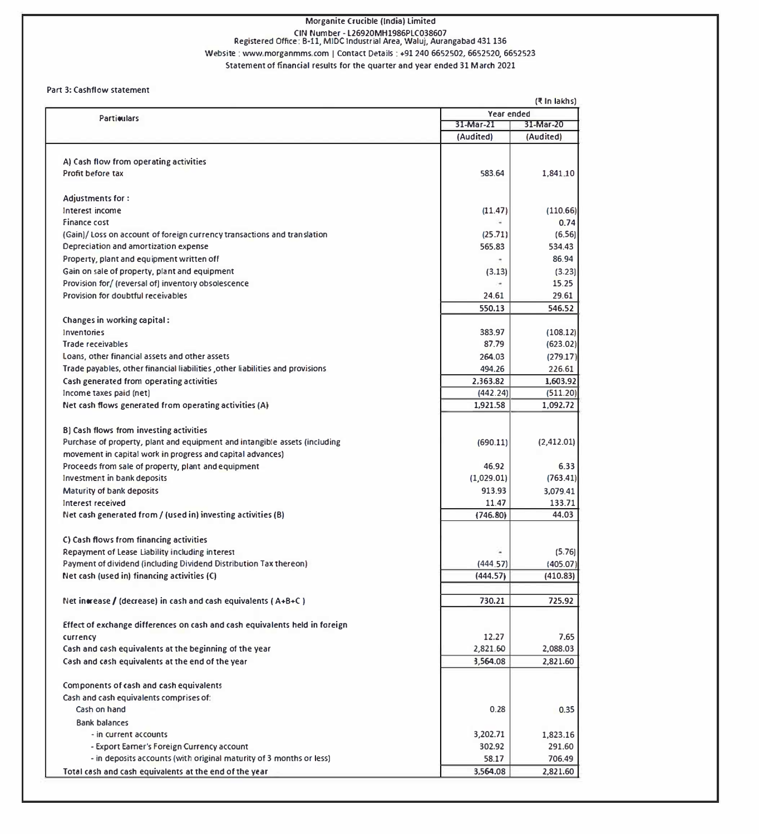# Morganite Crucible (India) Limited CIN Number - L26920MH1986PLC038607<br>Registered Office: B-11, MIDC Industrial Area, Waluj, Aurangabad 431 136 Website : www.morganmms.com I Contact Details : +91 240 6652502, 6652520, 6652523

Statement of financial results for the quarter and year ended 31 March 2021

#### Part 3: Cashflow statement

|                                                                                         |            | (₹ In lakhs) |
|-----------------------------------------------------------------------------------------|------------|--------------|
| <b>Particulars</b>                                                                      | Year ended |              |
|                                                                                         | 31-Mar-21  | 31-Mar-20    |
|                                                                                         | (Audited)  | (Audited)    |
|                                                                                         |            |              |
| A) Cash flow from operating activities                                                  |            |              |
| Profit before tax                                                                       | 583.64     | 1.841.10     |
|                                                                                         |            |              |
| <b>Adjustments for:</b>                                                                 |            | (110.66)     |
| Interest income                                                                         | (11.47)    | 0.74         |
| Finance cost<br>(Gain)/Loss on account of foreign currency transactions and translation | (25.71)    | (6.56)       |
| Depreciation and amortization expense                                                   | 565.83     | 534.43       |
| Property, plant and equipment written off                                               |            | 86.94        |
| Gain on sale of property, plant and equipment                                           | (3.13)     | (3.23)       |
| Provision for/ (reversal of) inventory obsolescence                                     |            | 15.25        |
| Provision for doubtful receivables                                                      | 24.61      | 29.61        |
|                                                                                         | 550.13     | 546.52       |
| Changes in working capital:                                                             |            |              |
| Inventories                                                                             | 383.97     | (108.12)     |
| <b>Trade receivables</b>                                                                | 87.79      | (623.02)     |
| Loans, other financial assets and other assets                                          | 264.03     | (279.17)     |
| Trade payables, other financial liabilities , other liabilities and provisions          | 494.26     | 226.61       |
| Cash generated from operating activities                                                | 2,363.82   | 1,603.92     |
| Income taxes paid (net)                                                                 | (442.24)   | (511.20)     |
| Net cash flows generated from operating activities (A)                                  | 1,921.58   | 1,092.72     |
|                                                                                         |            |              |
| B) Cash flows from investing activities                                                 |            |              |
| Purchase of property, plant and equipment and intangible assets (including              | (690.11)   | (2,412.01)   |
| movement in capital work in progress and capital advances)                              |            |              |
| Proceeds from sale of property, plant and equipment                                     | 46.92      | 6.33         |
| Investment in bank deposits                                                             | (1,029.01) | (763.41)     |
| Maturity of bank deposits                                                               | 913.93     | 3,079.41     |
| Interest received                                                                       | 11.47      | 133.71       |
| Net cash generated from / (used in) investing activities (B)                            | (746.80)   | 44.03        |
| C) Cash flows from financing activities                                                 |            |              |
| Repayment of Lease Liability including interest                                         |            | (5.76)       |
| Payment of dividend (including Dividend Distribution Tax thereon)                       | (444.57)   | (405.07)     |
| Net cash (used in) financing activities (C)                                             | (444.57)   | (410.83)     |
|                                                                                         |            |              |
| Net increase / (decrease) in cash and cash equivalents ( $A+B+C$ )                      | 730.21     | 725.92       |
|                                                                                         |            |              |
| Effect of exchange differences on cash and cash equivalents held in foreign             |            |              |
| currency                                                                                | 12.27      | 7.65         |
| Cash and cash equivalents at the beginning of the year                                  | 2,821.60   | 2.088.03     |
| Cash and cash equivalents at the end of the year                                        | 3,564.08   | 2,821.60     |
|                                                                                         |            |              |
| Components of cash and cash equivalents                                                 |            |              |
| Cash and cash equivalents comprises of:                                                 |            |              |
| Cash on hand                                                                            | 0.28       | 0.35         |
| <b>Bank balances</b>                                                                    |            |              |
| - in current accounts                                                                   | 3,202.71   | 1.823.16     |
| - Export Earner's Foreign Currency account                                              | 302.92     | 291.60       |
| - in deposits accounts (with original maturity of 3 months or less)                     | 58.17      | 706.49       |
| Total cash and cash equivalents at the end of the year                                  | 3,564,08   | 2,821.60     |